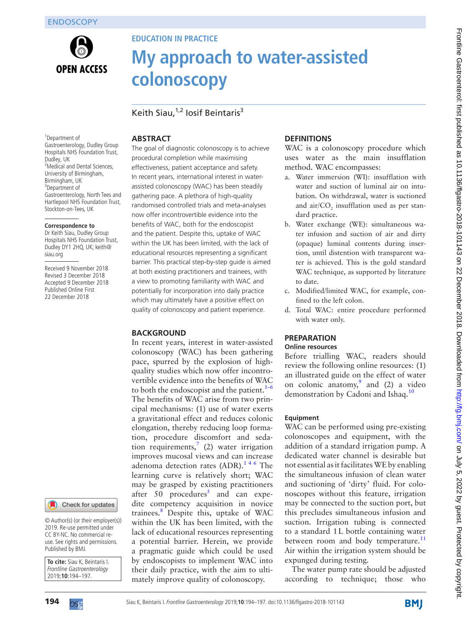

# **Education in practice**

# **My approach to water-assisted colonoscopy**

Keith Siau.<sup>1,2</sup> Iosif Beintaris<sup>3</sup>

# **Abstract**

1 Department of Gastroenterology, Dudley Group Hospitals NHS Foundation Trust, Dudley, UK <sup>2</sup>Medical and Dental Sciences, University of Birmingham, Birmingham, UK 3 Department of Gastroenterology, North Tees and Hartlepool NHS Foundation Trust, Stockton-on-Tees, UK

#### **Correspondence to**

Dr Keith Siau, Dudley Group Hospitals NHS Foundation Trust, Dudley DY1 2HQ, UK; keith@ siau.org

Received 9 November 2018 Revised 3 December 2018 Accepted 9 December 2018 Published Online First 22 December 2018

#### Check for updates

© Author(s) (or their employer(s)) 2019. Re-use permitted under CC BY-NC. No commercial reuse. See rights and permissions. Published by BMJ.

**To cite:** Siau K, Beintaris I. Frontline Gastroenterology 2019;**10**:194–197.

The goal of diagnostic colonoscopy is to achieve procedural completion while maximising effectiveness, patient acceptance and safety. In recent years, international interest in waterassisted colonoscopy (WAC) has been steadily gathering pace. A plethora of high-quality randomised controlled trials and meta-analyses now offer incontrovertible evidence into the benefits of WAC, both for the endoscopist and the patient. Despite this, uptake of WAC within the UK has been limited, with the lack of educational resources representing a significant barrier. This practical step-by-step guide is aimed at both existing practitioners and trainees, with a view to promoting familiarity with WAC and potentially for incorporation into daily practice which may ultimately have a positive effect on quality of colonoscopy and patient experience.

## **BACKGROUND**

In recent years, interest in water-assisted colonoscopy (WAC) has been gathering pace, spurred by the explosion of highquality studies which now offer incontrovertible evidence into the benefits of WAC to both the endoscopist and the patient. $1-6$ The benefits of WAC arise from two principal mechanisms: (1) use of water exerts a gravitational effect and reduces colonic elongation, thereby reducing loop formation, procedure discomfort and sedation requirements,<sup>7</sup> (2) water irrigation improves mucosal views and can increase adenoma detection rates  $(ADR).<sup>146</sup>$  The learning curve is relatively short; WAC may be grasped by existing practitioners after [5](#page-3-1)0 procedures<sup>5</sup> and can expedite competency acquisition in novice trainees.[8](#page-3-2) Despite this, uptake of WAC within the UK has been limited, with the lack of educational resources representing a potential barrier. Herein, we provide a pragmatic guide which could be used by endoscopists to implement WAC into their daily practice, with the aim to ultimately improve quality of colonoscopy.

# **Definitions**

WAC is a colonoscopy procedure which uses water as the main insufflation method. WAC encompasses:

- a. Water immersion (WI): insufflation with water and suction of luminal air on intubation. On withdrawal, water is suctioned and  $\ar{air}/CO_2$  insufflation used as per standard practice.
- b. Water exchange (WE): simultaneous water infusion and suction of air and dirty (opaque) luminal contents during insertion, until distention with transparent water is achieved. This is the gold standard WAC technique, as supported by literature to date.
- c. Modified/limited WAC, for example, confined to the left colon.
- d. Total WAC: entire procedure performed with water only.

### **Preparation Online resources**

Before trialling WAC, readers should review the following online resources: (1) an illustrated guide on the effect of water on colonic anatomy, and  $(2)$  a video demonstration by Cadoni and Ishaq.<sup>10</sup>

## **Equipment**

WAC can be performed using pre-existing colonoscopes and equipment, with the addition of a standard irrigation pump. A dedicated water channel is desirable but not essential as it facilitates WE by enabling the simultaneous infusion of clean water and suctioning of 'dirty' fluid. For colonoscopes without this feature, irrigation may be connected to the suction port, but this precludes simultaneous infusion and suction. Irrigation tubing is connected to a standard 1L bottle containing water between room and body temperature. $^{11}$  $^{11}$  $^{11}$ Air within the irrigation system should be expunged during testing.

The water pump rate should be adjusted according to technique; those who

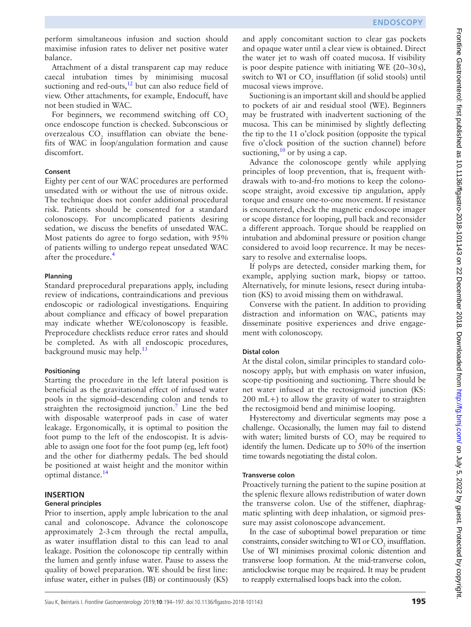perform simultaneous infusion and suction should maximise infusion rates to deliver net positive water balance.

Attachment of a distal transparent cap may reduce caecal intubation times by minimising mucosal suctioning and red-outs, $12$  but can also reduce field of view. Other attachments, for example, Endocuff, have not been studied in WAC.

For beginners, we recommend switching off  $CO<sub>2</sub>$ once endoscope function is checked. Subconscious or overzealous  $\mathrm{CO}_2$  insufflation can obviate the benefits of WAC in loop/angulation formation and cause discomfort.

## **Consent**

Eighty per cent of our WAC procedures are performed unsedated with or without the use of nitrous oxide. The technique does not confer additional procedural risk. Patients should be consented for a standard colonoscopy. For uncomplicated patients desiring sedation, we discuss the benefits of unsedated WAC. Most patients do agree to forgo sedation, with 95% of patients willing to undergo repeat unsedated WAC after the procedure.<sup>[4](#page-3-7)</sup>

## **Planning**

Standard preprocedural preparations apply, including review of indications, contraindications and previous endoscopic or radiological investigations. Enquiring about compliance and efficacy of bowel preparation may indicate whether WE/colonoscopy is feasible. Preprocedure checklists reduce error rates and should be completed. As with all endoscopic procedures, background music may help.<sup>13</sup>

## **Positioning**

Starting the procedure in the left lateral position is beneficial as the gravitational effect of infused water pools in the sigmoid–descending colon and tends to straighten the rectosigmoid junction.<sup>[7](#page-3-0)</sup> Line the bed with disposable waterproof pads in case of water leakage. Ergonomically, it is optimal to position the foot pump to the left of the endoscopist. It is advisable to assign one foot for the foot pump (eg, left foot) and the other for diathermy pedals. The bed should be positioned at waist height and the monitor within optimal distance.<sup>[14](#page-3-9)</sup>

#### **Insertion General principles**

Prior to insertion, apply ample lubrication to the anal canal and colonoscope. Advance the colonoscope approximately 2-3cm through the rectal ampulla, as water insufflation distal to this can lead to anal leakage. Position the colonoscope tip centrally within the lumen and gently infuse water. Pause to assess the quality of bowel preparation. WE should be first line: infuse water, either in pulses (IB) or continuously (KS)

and apply concomitant suction to clear gas pockets and opaque water until a clear view is obtained. Direct the water jet to wash off coated mucosa. If visibility is poor despite patience with initiating WE (20–30s), switch to WI or  $\mathrm{CO}_2$  insufflation (if solid stools) until mucosal views improve.

Suctioning is an important skill and should be applied to pockets of air and residual stool (WE). Beginners may be frustrated with inadvertent suctioning of the mucosa. This can be minimised by slightly deflecting the tip to the 11 o'clock position (opposite the typical five o'clock position of the suction channel) before suctioning,  $\frac{10}{10}$  or by using a cap.

Advance the colonoscope gently while applying principles of loop prevention, that is, frequent withdrawals with to-and-fro motions to keep the colonoscope straight, avoid excessive tip angulation, apply torque and ensure one-to-one movement. If resistance is encountered, check the magnetic endoscope imager or scope distance for looping, pull back and reconsider a different approach. Torque should be reapplied on intubation and abdominal pressure or position change considered to avoid loop recurrence. It may be necessary to resolve and externalise loops.

If polyps are detected, consider marking them, for example, applying suction mark, biopsy or tattoo. Alternatively, for minute lesions, resect during intubation (KS) to avoid missing them on withdrawal.

Converse with the patient. In addition to providing distraction and information on WAC, patients may disseminate positive experiences and drive engagement with colonoscopy.

# **Distal colon**

At the distal colon, similar principles to standard colonoscopy apply, but with emphasis on water infusion, scope-tip positioning and suctioning. There should be net water infused at the rectosigmoid junction (KS: 200 mL+) to allow the gravity of water to straighten the rectosigmoid bend and minimise looping.

Hysterectomy and diverticular segments may pose a challenge. Occasionally, the lumen may fail to distend with water; limited bursts of  $CO_2$  may be required to identify the lumen. Dedicate up to 50% of the insertion time towards negotiating the distal colon.

## **Transverse colon**

Proactively turning the patient to the supine position at the splenic flexure allows redistribution of water down the transverse colon. Use of the stiffener, diaphragmatic splinting with deep inhalation, or sigmoid pressure may assist colonoscope advancement.

In the case of suboptimal bowel preparation or time constraints, consider switching to WI or  $\mathrm{CO}_2$  insufflation. Use of WI minimises proximal colonic distention and transverse loop formation. At the mid-tranverse colon, anticlockwise torque may be required. It may be prudent to reapply externalised loops back into the colon.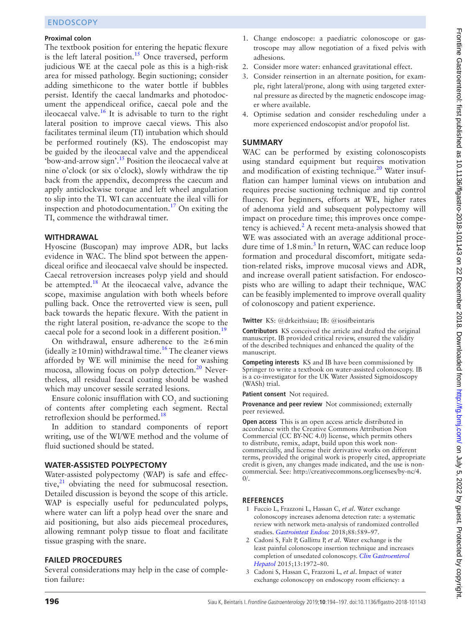#### **Proximal colon**

The textbook position for entering the hepatic flexure is the left lateral position.<sup>[15](#page-3-10)</sup> Once traversed, perform judicious WE at the caecal pole as this is a high-risk area for missed pathology. Begin suctioning; consider adding simethicone to the water bottle if bubbles persist. Identify the caecal landmarks and photodocument the appendiceal orifice, caecal pole and the ileocaecal valve.[16](#page-3-11) It is advisable to turn to the right lateral position to improve caecal views. This also facilitates terminal ileum (TI) intubation which should be performed routinely (KS). The endoscopist may be guided by the ileocaecal valve and the appendiceal 'bow-and-arrow sign'.[15](#page-3-10) Position the ileocaecal valve at nine o'clock (or six o'clock), slowly withdraw the tip back from the appendix, decompress the caecum and apply anticlockwise torque and left wheel angulation to slip into the TI. WI can accentuate the ileal villi for inspection and photodocumentation.<sup>17</sup> On exiting the TI, commence the withdrawal timer.

#### **Withdrawal**

Hyoscine (Buscopan) may improve ADR, but lacks evidence in WAC. The blind spot between the appendiceal orifice and ileocaecal valve should be inspected. Caecal retroversion increases polyp yield and should be attempted.<sup>[18](#page-3-13)</sup> At the ileocaecal valve, advance the scope, maximise angulation with both wheels before pulling back. Once the retroverted view is seen, pull back towards the hepatic flexure. With the patient in the right lateral position, re-advance the scope to the caecal pole for a second look in a different position.<sup>19</sup>

On withdrawal, ensure adherence to the  $\geq 6$  min (ideally  $\geq$ 10 min) withdrawal time.<sup>16</sup> The cleaner views afforded by WE will minimise the need for washing mucosa, allowing focus on polyp detection. $^{20}$  Nevertheless, all residual faecal coating should be washed which may uncover sessile serrated lesions.

Ensure colonic insufflation with  $CO_2$  and suctioning of contents after completing each segment. Rectal retroflexion should be performed.<sup>[18](#page-3-13)</sup>

In addition to standard components of report writing, use of the WI/WE method and the volume of fluid suctioned should be stated.

#### **Water-assisted polypectomy**

Water-assisted polypectomy (WAP) is safe and effective, $^{21}$  $^{21}$  $^{21}$  obviating the need for submucosal resection. Detailed discussion is beyond the scope of this article. WAP is especially useful for pedunculated polyps, where water can lift a polyp head over the snare and aid positioning, but also aids piecemeal procedures, allowing remnant polyp tissue to float and facilitate tissue grasping with the snare.

#### **FAILED PROCEDURES**

Several considerations may help in the case of completion failure:

- 1. Change endoscope: a paediatric colonoscope or gastroscope may allow negotiation of a fixed pelvis with adhesions.
- 2. Consider more water: enhanced gravitational effect.
- 3. Consider reinsertion in an alternate position, for example, right lateral/prone, along with using targeted external pressure as directed by the magnetic endoscope imager where available.
- 4. Optimise sedation and consider rescheduling under a more experienced endoscopist and/or propofol list.

#### **Summary**

WAC can be performed by existing colonoscopists using standard equipment but requires motivation and modification of existing technique.<sup>[20](#page-3-15)</sup> Water insufflation can hamper luminal views on intubation and requires precise suctioning technique and tip control fluency. For beginners, efforts at WE, higher rates of adenoma yield and subsequent polypectomy will impact on procedure time; this improves once compe-tency is achieved.<sup>[2](#page-2-1)</sup> A recent meta-analysis showed that WE was associated with an average additional proce-dure time of 1.8 min.<sup>[3](#page-2-2)</sup> In return, WAC can reduce loop formation and procedural discomfort, mitigate sedation-related risks, improve mucosal views and ADR, and increase overall patient satisfaction. For endoscopists who are willing to adapt their technique, WAC can be feasibly implemented to improve overall quality of colonoscopy and patient experience.

**Twitter** KS: @drkeithsiau; IB: @iosifbeintaris

**Contributors** KS conceived the article and drafted the original manuscript. IB provided critical review, ensured the validity of the described techniques and enhanced the quality of the manuscript.

**Competing interests** KS and IB have been commissioned by Springer to write a textbook on water-assisted colonoscopy. IB is a co-investigator for the UK Water Assisted Sigmoidoscopy (WASh) trial.

**Patient consent** Not required.

**Provenance and peer review** Not commissioned; externally peer reviewed.

**Open access** This is an open access article distributed in accordance with the Creative Commons Attribution Non Commercial (CC BY-NC 4.0) license, which permits others to distribute, remix, adapt, build upon this work noncommercially, and license their derivative works on different terms, provided the original work is properly cited, appropriate credit is given, any changes made indicated, and the use is noncommercial. See: [http://creativecommons.org/licenses/by-nc/4.](http://creativecommons.org/licenses/by-nc/4.0/)  $\Omega$ 

#### **References**

- <span id="page-2-0"></span>1 Fuccio L, Frazzoni L, Hassan C, *et al*. Water exchange colonoscopy increases adenoma detection rate: a systematic review with network meta-analysis of randomized controlled studies. *[Gastrointest Endosc](http://dx.doi.org/10.1016/j.gie.2018.06.028)* 2018;88:589–97.
- <span id="page-2-1"></span>2 Cadoni S, Falt P, Gallittu P, *et al*. Water exchange is the least painful colonoscope insertion technique and increases completion of unsedated colonoscopy. *[Clin Gastroenterol](http://dx.doi.org/10.1016/j.cgh.2015.04.178)  [Hepatol](http://dx.doi.org/10.1016/j.cgh.2015.04.178)* 2015;13:1972–80.
- <span id="page-2-2"></span>3 Cadoni S, Hassan C, Frazzoni L, *et al*. Impact of water exchange colonoscopy on endoscopy room efficiency: a